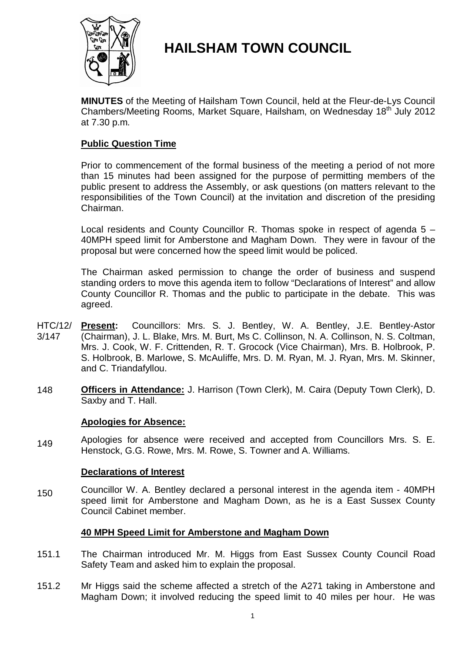

# **HAILSHAM TOWN COUNCIL**

**MINUTES** of the Meeting of Hailsham Town Council, held at the Fleur-de-Lys Council Chambers/Meeting Rooms, Market Square, Hailsham, on Wednesday 18<sup>th</sup> July 2012 at 7.30 p.m.

### **Public Question Time**

Prior to commencement of the formal business of the meeting a period of not more than 15 minutes had been assigned for the purpose of permitting members of the public present to address the Assembly, or ask questions (on matters relevant to the responsibilities of the Town Council) at the invitation and discretion of the presiding Chairman.

Local residents and County Councillor R. Thomas spoke in respect of agenda 5 – 40MPH speed limit for Amberstone and Magham Down. They were in favour of the proposal but were concerned how the speed limit would be policed.

The Chairman asked permission to change the order of business and suspend standing orders to move this agenda item to follow "Declarations of Interest" and allow County Councillor R. Thomas and the public to participate in the debate. This was agreed.

- HTC/12/ 3/147 **Present:** Councillors: Mrs. S. J. Bentley, W. A. Bentley, J.E. Bentley-Astor (Chairman), J. L. Blake, Mrs. M. Burt, Ms C. Collinson, N. A. Collinson, N. S. Coltman, Mrs. J. Cook, W. F. Crittenden, R. T. Grocock (Vice Chairman), Mrs. B. Holbrook, P. S. Holbrook, B. Marlowe, S. McAuliffe, Mrs. D. M. Ryan, M. J. Ryan, Mrs. M. Skinner, and C. Triandafyllou.
- 148 **Officers in Attendance:** J. Harrison (Town Clerk), M. Caira (Deputy Town Clerk), D. Saxby and T. Hall.

### **Apologies for Absence:**

149 Apologies for absence were received and accepted from Councillors Mrs. S. E. Henstock, G.G. Rowe, Mrs. M. Rowe, S. Towner and A. Williams.

### **Declarations of Interest**

150 Councillor W. A. Bentley declared a personal interest in the agenda item - 40MPH speed limit for Amberstone and Magham Down, as he is a East Sussex County Council Cabinet member.

### **40 MPH Speed Limit for Amberstone and Magham Down**

- 151.1 The Chairman introduced Mr. M. Higgs from East Sussex County Council Road Safety Team and asked him to explain the proposal.
- 151.2 Mr Higgs said the scheme affected a stretch of the A271 taking in Amberstone and Magham Down; it involved reducing the speed limit to 40 miles per hour. He was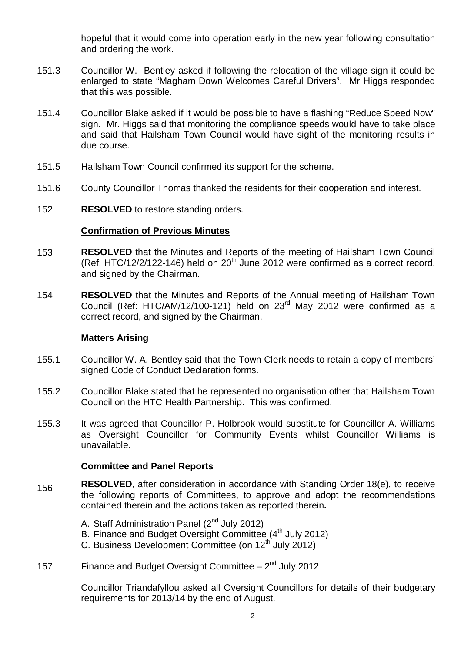hopeful that it would come into operation early in the new year following consultation and ordering the work.

- 151.3 Councillor W. Bentley asked if following the relocation of the village sign it could be enlarged to state "Magham Down Welcomes Careful Drivers". Mr Higgs responded that this was possible.
- 151.4 Councillor Blake asked if it would be possible to have a flashing "Reduce Speed Now" sign. Mr. Higgs said that monitoring the compliance speeds would have to take place and said that Hailsham Town Council would have sight of the monitoring results in due course.
- 151.5 Hailsham Town Council confirmed its support for the scheme.
- 151.6 County Councillor Thomas thanked the residents for their cooperation and interest.
- 152 **RESOLVED** to restore standing orders.

### **Confirmation of Previous Minutes**

- 153 **RESOLVED** that the Minutes and Reports of the meeting of Hailsham Town Council  $(Ref: HTC/12/2/122-146)$  held on  $20<sup>th</sup>$  June 2012 were confirmed as a correct record. and signed by the Chairman.
- 154 **RESOLVED** that the Minutes and Reports of the Annual meeting of Hailsham Town Council (Ref: HTC/AM/12/100-121) held on 23<sup>rd</sup> May 2012 were confirmed as a correct record, and signed by the Chairman.

### **Matters Arising**

- 155.1 Councillor W. A. Bentley said that the Town Clerk needs to retain a copy of members' signed Code of Conduct Declaration forms.
- 155.2 Councillor Blake stated that he represented no organisation other that Hailsham Town Council on the HTC Health Partnership. This was confirmed.
- 155.3 It was agreed that Councillor P. Holbrook would substitute for Councillor A. Williams as Oversight Councillor for Community Events whilst Councillor Williams is unavailable.

### **Committee and Panel Reports**

- 156 **RESOLVED**, after consideration in accordance with Standing Order 18(e), to receive the following reports of Committees, to approve and adopt the recommendations contained therein and the actions taken as reported therein**.**
	- A. Staff Administration Panel (2<sup>nd</sup> July 2012)
	- B. Finance and Budget Oversight Committee (4<sup>th</sup> July 2012)
	- C. Business Development Committee (on  $12<sup>th</sup>$  July 2012)

## 157 Finance and Budget Oversight Committee  $-2^{nd}$  July 2012

Councillor Triandafyllou asked all Oversight Councillors for details of their budgetary requirements for 2013/14 by the end of August.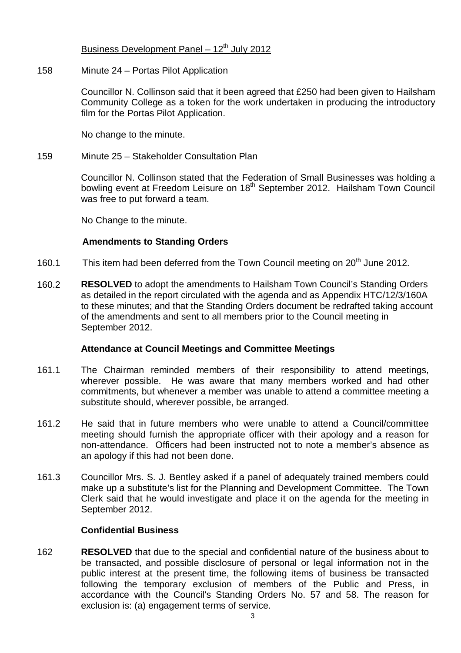### Business Development Panel –  $12<sup>th</sup>$  July 2012

#### 158 Minute 24 – Portas Pilot Application

Councillor N. Collinson said that it been agreed that £250 had been given to Hailsham Community College as a token for the work undertaken in producing the introductory film for the Portas Pilot Application.

No change to the minute.

#### 159 Minute 25 – Stakeholder Consultation Plan

Councillor N. Collinson stated that the Federation of Small Businesses was holding a bowling event at Freedom Leisure on 18<sup>th</sup> September 2012. Hailsham Town Council was free to put forward a team.

No Change to the minute.

### **Amendments to Standing Orders**

- 160.1 This item had been deferred from the Town Council meeting on 20<sup>th</sup> June 2012.
- 160.2 **RESOLVED** to adopt the amendments to Hailsham Town Council's Standing Orders as detailed in the report circulated with the agenda and as Appendix HTC/12/3/160A to these minutes; and that the Standing Orders document be redrafted taking account of the amendments and sent to all members prior to the Council meeting in September 2012.

### **Attendance at Council Meetings and Committee Meetings**

- 161.1 The Chairman reminded members of their responsibility to attend meetings, wherever possible. He was aware that many members worked and had other commitments, but whenever a member was unable to attend a committee meeting a substitute should, wherever possible, be arranged.
- 161.2 He said that in future members who were unable to attend a Council/committee meeting should furnish the appropriate officer with their apology and a reason for non-attendance. Officers had been instructed not to note a member's absence as an apology if this had not been done.
- 161.3 Councillor Mrs. S. J. Bentley asked if a panel of adequately trained members could make up a substitute's list for the Planning and Development Committee. The Town Clerk said that he would investigate and place it on the agenda for the meeting in September 2012.

### **Confidential Business**

162 **RESOLVED** that due to the special and confidential nature of the business about to be transacted, and possible disclosure of personal or legal information not in the public interest at the present time, the following items of business be transacted following the temporary exclusion of members of the Public and Press, in accordance with the Council's Standing Orders No. 57 and 58. The reason for exclusion is: (a) engagement terms of service.